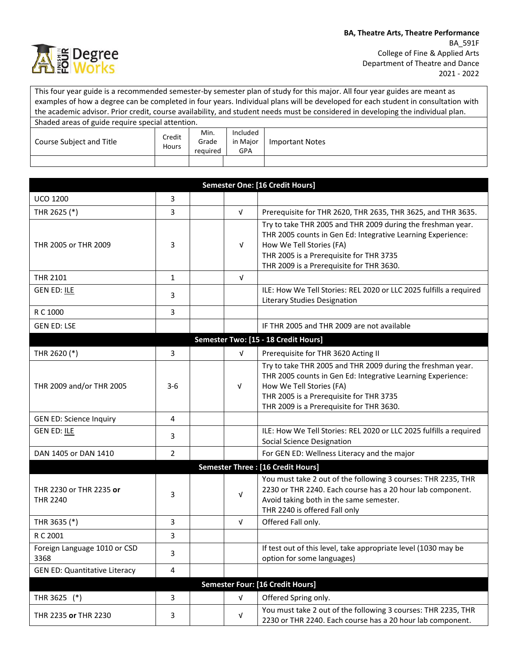

This four year guide is a recommended semester-by semester plan of study for this major. All four year guides are meant as examples of how a degree can be completed in four years. Individual plans will be developed for each student in consultation with the academic advisor. Prior credit, course availability, and student needs must be considered in developing the individual plan. Shaded areas of guide require special attention.

| Course Subject and Title | Credit<br>Hours | Min.<br>Grade<br>reguired | Included<br>in Major<br>GPA | Important Notes |
|--------------------------|-----------------|---------------------------|-----------------------------|-----------------|
|                          |                 |                           |                             |                 |

|                                            |                |  |            | <b>Semester One: [16 Credit Hours]</b>                                                                                                                                                                                                        |  |  |
|--------------------------------------------|----------------|--|------------|-----------------------------------------------------------------------------------------------------------------------------------------------------------------------------------------------------------------------------------------------|--|--|
| <b>UCO 1200</b>                            | 3              |  |            |                                                                                                                                                                                                                                               |  |  |
| THR 2625 (*)                               | 3              |  | $\sqrt{ }$ | Prerequisite for THR 2620, THR 2635, THR 3625, and THR 3635.                                                                                                                                                                                  |  |  |
| THR 2005 or THR 2009                       | 3              |  | $\sqrt{ }$ | Try to take THR 2005 and THR 2009 during the freshman year.<br>THR 2005 counts in Gen Ed: Integrative Learning Experience:<br>How We Tell Stories (FA)<br>THR 2005 is a Prerequisite for THR 3735<br>THR 2009 is a Prerequisite for THR 3630. |  |  |
| THR 2101                                   | $\mathbf{1}$   |  | $\sqrt{ }$ |                                                                                                                                                                                                                                               |  |  |
| <b>GEN ED: ILE</b>                         | 3              |  |            | ILE: How We Tell Stories: REL 2020 or LLC 2025 fulfills a required<br>Literary Studies Designation                                                                                                                                            |  |  |
| R C 1000                                   | 3              |  |            |                                                                                                                                                                                                                                               |  |  |
| <b>GEN ED: LSE</b>                         |                |  |            | IF THR 2005 and THR 2009 are not available                                                                                                                                                                                                    |  |  |
|                                            |                |  |            | Semester Two: [15 - 18 Credit Hours]                                                                                                                                                                                                          |  |  |
| THR 2620 (*)                               | 3              |  | $\sqrt{ }$ | Prerequisite for THR 3620 Acting II                                                                                                                                                                                                           |  |  |
| THR 2009 and/or THR 2005                   | $3-6$          |  | $\sqrt{ }$ | Try to take THR 2005 and THR 2009 during the freshman year.<br>THR 2005 counts in Gen Ed: Integrative Learning Experience:<br>How We Tell Stories (FA)<br>THR 2005 is a Prerequisite for THR 3735<br>THR 2009 is a Prerequisite for THR 3630. |  |  |
| <b>GEN ED: Science Inquiry</b>             | 4              |  |            |                                                                                                                                                                                                                                               |  |  |
| <b>GEN ED: ILE</b>                         | 3              |  |            | ILE: How We Tell Stories: REL 2020 or LLC 2025 fulfills a required<br><b>Social Science Designation</b>                                                                                                                                       |  |  |
| DAN 1405 or DAN 1410                       | $\overline{2}$ |  |            | For GEN ED: Wellness Literacy and the major                                                                                                                                                                                                   |  |  |
| <b>Semester Three: [16 Credit Hours]</b>   |                |  |            |                                                                                                                                                                                                                                               |  |  |
| THR 2230 or THR 2235 or<br><b>THR 2240</b> | 3              |  | $\sqrt{ }$ | You must take 2 out of the following 3 courses: THR 2235, THR<br>2230 or THR 2240. Each course has a 20 hour lab component.<br>Avoid taking both in the same semester.<br>THR 2240 is offered Fall only                                       |  |  |
| THR 3635 (*)                               | 3              |  | V          | Offered Fall only.                                                                                                                                                                                                                            |  |  |
| R C 2001                                   | 3              |  |            |                                                                                                                                                                                                                                               |  |  |
| Foreign Language 1010 or CSD<br>3368       | 3              |  |            | If test out of this level, take appropriate level (1030 may be<br>option for some languages)                                                                                                                                                  |  |  |
| <b>GEN ED: Quantitative Literacy</b>       | 4              |  |            |                                                                                                                                                                                                                                               |  |  |
|                                            |                |  |            | Semester Four: [16 Credit Hours]                                                                                                                                                                                                              |  |  |
| $(*)$<br>THR 3625                          | 3              |  | $\sqrt{ }$ | Offered Spring only.                                                                                                                                                                                                                          |  |  |
| THR 2235 or THR 2230                       | 3              |  | $\sqrt{ }$ | You must take 2 out of the following 3 courses: THR 2235, THR<br>2230 or THR 2240. Each course has a 20 hour lab component.                                                                                                                   |  |  |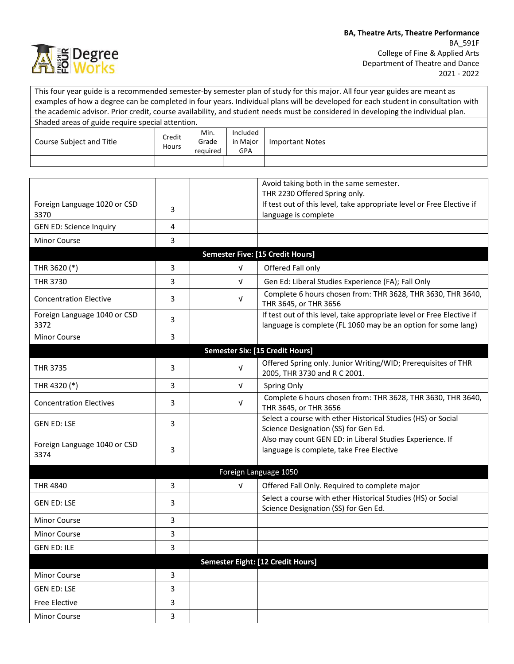

|                                                  |                 |                           |                             | This four year guide is a recommended semester-by semester plan of study for this major. All four year guides are meant as<br>examples of how a degree can be completed in four years. Individual plans will be developed for each student in consultation with<br>the academic advisor. Prior credit, course availability, and student needs must be considered in developing the individual plan. |
|--------------------------------------------------|-----------------|---------------------------|-----------------------------|-----------------------------------------------------------------------------------------------------------------------------------------------------------------------------------------------------------------------------------------------------------------------------------------------------------------------------------------------------------------------------------------------------|
| Shaded areas of guide require special attention. |                 |                           |                             |                                                                                                                                                                                                                                                                                                                                                                                                     |
| Course Subject and Title                         | Credit<br>Hours | Min.<br>Grade<br>required | Included<br>in Major<br>GPA | <b>Important Notes</b>                                                                                                                                                                                                                                                                                                                                                                              |
|                                                  |                 |                           |                             |                                                                                                                                                                                                                                                                                                                                                                                                     |
|                                                  |                 |                           |                             |                                                                                                                                                                                                                                                                                                                                                                                                     |
|                                                  |                 |                           |                             | Avoid taking both in the same semester.<br>THR 2230 Offered Spring only.                                                                                                                                                                                                                                                                                                                            |
| Foreign Language 1020 or CSD<br>3370             | 3               |                           |                             | If test out of this level, take appropriate level or Free Elective if<br>language is complete                                                                                                                                                                                                                                                                                                       |
| <b>GEN ED: Science Inquiry</b>                   | 4               |                           |                             |                                                                                                                                                                                                                                                                                                                                                                                                     |
| <b>Minor Course</b>                              | 3               |                           |                             |                                                                                                                                                                                                                                                                                                                                                                                                     |
|                                                  |                 |                           |                             | <b>Semester Five: [15 Credit Hours]</b>                                                                                                                                                                                                                                                                                                                                                             |
| THR 3620 (*)                                     | 3               |                           | $\sqrt{ }$                  | Offered Fall only                                                                                                                                                                                                                                                                                                                                                                                   |
| THR 3730                                         | 3               |                           | V                           | Gen Ed: Liberal Studies Experience (FA); Fall Only                                                                                                                                                                                                                                                                                                                                                  |
| <b>Concentration Elective</b>                    | 3               |                           | V                           | Complete 6 hours chosen from: THR 3628, THR 3630, THR 3640,<br>THR 3645, or THR 3656                                                                                                                                                                                                                                                                                                                |
| Foreign Language 1040 or CSD<br>3372             | 3               |                           |                             | If test out of this level, take appropriate level or Free Elective if<br>language is complete (FL 1060 may be an option for some lang)                                                                                                                                                                                                                                                              |
| Minor Course                                     | 3               |                           |                             |                                                                                                                                                                                                                                                                                                                                                                                                     |
|                                                  |                 |                           |                             | <b>Semester Six: [15 Credit Hours]</b>                                                                                                                                                                                                                                                                                                                                                              |
| <b>THR 3735</b>                                  | 3               |                           | V                           | Offered Spring only. Junior Writing/WID; Prerequisites of THR<br>2005, THR 3730 and R C 2001.                                                                                                                                                                                                                                                                                                       |
| THR 4320 (*)                                     | 3               |                           | v                           | Spring Only                                                                                                                                                                                                                                                                                                                                                                                         |
| <b>Concentration Electives</b>                   | 3               |                           | V                           | Complete 6 hours chosen from: THR 3628, THR 3630, THR 3640,<br>THR 3645, or THR 3656                                                                                                                                                                                                                                                                                                                |
| <b>GEN ED: LSE</b>                               | 3               |                           |                             | Select a course with ether Historical Studies (HS) or Social<br>Science Designation (SS) for Gen Ed.                                                                                                                                                                                                                                                                                                |
| Foreign Language 1040 or CSD<br>3374             | 3               |                           |                             | Also may count GEN ED: in Liberal Studies Experience. If<br>language is complete, take Free Elective                                                                                                                                                                                                                                                                                                |
|                                                  |                 |                           |                             | Foreign Language 1050                                                                                                                                                                                                                                                                                                                                                                               |
| <b>THR 4840</b>                                  | 3               |                           | $\sqrt{ }$                  | Offered Fall Only. Required to complete major                                                                                                                                                                                                                                                                                                                                                       |
| <b>GEN ED: LSE</b>                               | 3               |                           |                             | Select a course with ether Historical Studies (HS) or Social<br>Science Designation (SS) for Gen Ed.                                                                                                                                                                                                                                                                                                |
| <b>Minor Course</b>                              | 3               |                           |                             |                                                                                                                                                                                                                                                                                                                                                                                                     |
| Minor Course                                     | 3               |                           |                             |                                                                                                                                                                                                                                                                                                                                                                                                     |
| <b>GEN ED: ILE</b>                               | 3               |                           |                             |                                                                                                                                                                                                                                                                                                                                                                                                     |
|                                                  |                 |                           |                             | Semester Eight: [12 Credit Hours]                                                                                                                                                                                                                                                                                                                                                                   |
| Minor Course                                     | 3               |                           |                             |                                                                                                                                                                                                                                                                                                                                                                                                     |
| <b>GEN ED: LSE</b>                               | 3               |                           |                             |                                                                                                                                                                                                                                                                                                                                                                                                     |
| <b>Free Elective</b>                             | 3               |                           |                             |                                                                                                                                                                                                                                                                                                                                                                                                     |
| Minor Course                                     | 3               |                           |                             |                                                                                                                                                                                                                                                                                                                                                                                                     |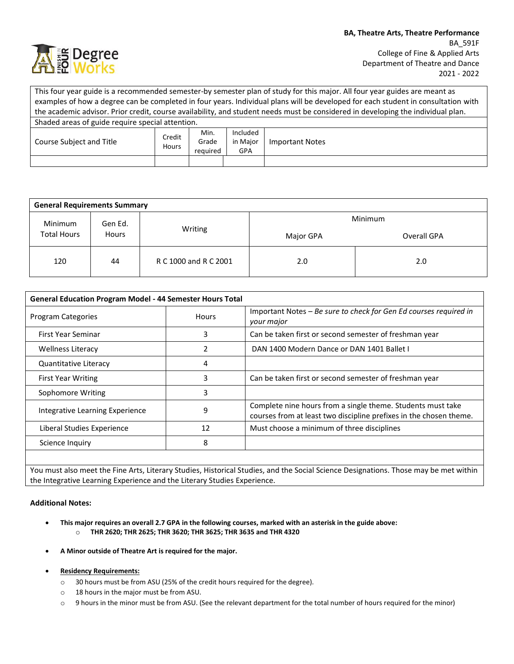

This four year guide is a recommended semester-by semester plan of study for this major. All four year guides are meant as examples of how a degree can be completed in four years. Individual plans will be developed for each student in consultation with the academic advisor. Prior credit, course availability, and student needs must be considered in developing the individual plan. Shaded areas of guide require special attention. Course Subject and Title Credit Hours Min. Grade required Included in Major GPA Important Notes

| <b>General Requirements Summary</b>                      |         |                       |             |     |  |  |  |
|----------------------------------------------------------|---------|-----------------------|-------------|-----|--|--|--|
| Minimum<br>Gen Ed.<br><b>Total Hours</b><br><b>Hours</b> |         | Minimum               |             |     |  |  |  |
|                                                          | Writing | Major GPA             | Overall GPA |     |  |  |  |
| 120                                                      | 44      | R C 1000 and R C 2001 | 2.0         | 2.0 |  |  |  |

| <b>General Education Program Model - 44 Semester Hours Total</b> |              |                                                                                                                                   |  |
|------------------------------------------------------------------|--------------|-----------------------------------------------------------------------------------------------------------------------------------|--|
| <b>Program Categories</b>                                        | <b>Hours</b> | Important Notes - Be sure to check for Gen Ed courses required in<br>your major                                                   |  |
| First Year Seminar                                               | 3            | Can be taken first or second semester of freshman year                                                                            |  |
| <b>Wellness Literacy</b>                                         |              | DAN 1400 Modern Dance or DAN 1401 Ballet I                                                                                        |  |
| Quantitative Literacy                                            | 4            |                                                                                                                                   |  |
| <b>First Year Writing</b>                                        | 3            | Can be taken first or second semester of freshman year                                                                            |  |
| Sophomore Writing                                                | 3            |                                                                                                                                   |  |
| Integrative Learning Experience                                  | 9            | Complete nine hours from a single theme. Students must take<br>courses from at least two discipline prefixes in the chosen theme. |  |
| Liberal Studies Experience                                       | 12           | Must choose a minimum of three disciplines                                                                                        |  |
| Science Inquiry                                                  | 8            |                                                                                                                                   |  |
|                                                                  |              |                                                                                                                                   |  |

You must also meet the Fine Arts, Literary Studies, Historical Studies, and the Social Science Designations. Those may be met within the Integrative Learning Experience and the Literary Studies Experience.

## **Additional Notes:**

- **This major requires an overall 2.7 GPA in the following courses, marked with an asterisk in the guide above:** o **THR 2620; THR 2625; THR 3620; THR 3625; THR 3635 and THR 4320**
- **A Minor outside of Theatre Art is required for the major.**
- **Residency Requirements:** 
	- o 30 hours must be from ASU (25% of the credit hours required for the degree).
	- o 18 hours in the major must be from ASU.
	- o 9 hours in the minor must be from ASU. (See the relevant department for the total number of hours required for the minor)